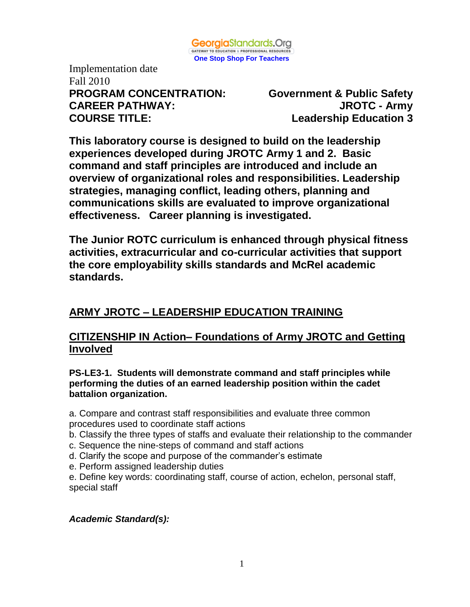

Implementation date Fall 2010 **PROGRAM CONCENTRATION: Government & Public Safety CAREER PATHWAY: JROTC - Army COURSE TITLE: Leadership Education 3**

**This laboratory course is designed to build on the leadership experiences developed during JROTC Army 1 and 2. Basic command and staff principles are introduced and include an overview of organizational roles and responsibilities. Leadership strategies, managing conflict, leading others, planning and communications skills are evaluated to improve organizational effectiveness. Career planning is investigated.**

**The Junior ROTC curriculum is enhanced through physical fitness activities, extracurricular and co-curricular activities that support the core employability skills standards and McRel academic standards.** 

# **ARMY JROTC – LEADERSHIP EDUCATION TRAINING**

## **CITIZENSHIP IN Action– Foundations of Army JROTC and Getting Involved**

**PS-LE3-1. Students will demonstrate command and staff principles while performing the duties of an earned leadership position within the cadet battalion organization.**

a. Compare and contrast staff responsibilities and evaluate three common procedures used to coordinate staff actions

- b. Classify the three types of staffs and evaluate their relationship to the commander
- c. Sequence the nine-steps of command and staff actions
- d. Clarify the scope and purpose of the commander's estimate
- e. Perform assigned leadership duties

e. Define key words: coordinating staff, course of action, echelon, personal staff, special staff

## *Academic Standard(s):*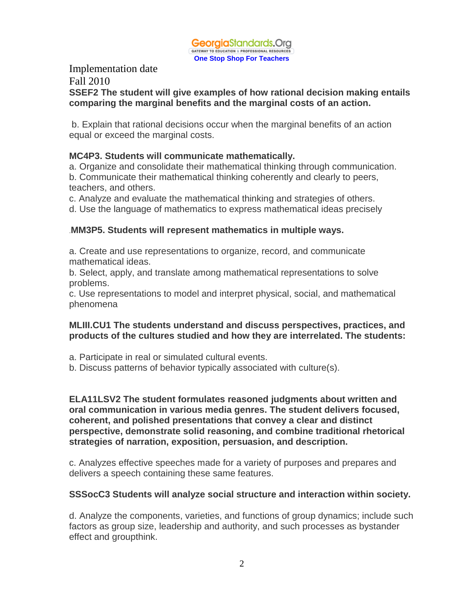

#### Implementation date Fall 2010 **SSEF2 The student will give examples of how rational decision making entails comparing the marginal benefits and the marginal costs of an action.**

b. Explain that rational decisions occur when the marginal benefits of an action equal or exceed the marginal costs.

#### **MC4P3. Students will communicate mathematically.**

a. Organize and consolidate their mathematical thinking through communication. b. Communicate their mathematical thinking coherently and clearly to peers, teachers, and others.

c. Analyze and evaluate the mathematical thinking and strategies of others.

d. Use the language of mathematics to express mathematical ideas precisely

## .**MM3P5. Students will represent mathematics in multiple ways.**

a. Create and use representations to organize, record, and communicate mathematical ideas.

b. Select, apply, and translate among mathematical representations to solve problems.

c. Use representations to model and interpret physical, social, and mathematical phenomena

## **MLIII.CU1 The students understand and discuss perspectives, practices, and products of the cultures studied and how they are interrelated. The students:**

a. Participate in real or simulated cultural events.

b. Discuss patterns of behavior typically associated with culture(s).

**ELA11LSV2 The student formulates reasoned judgments about written and oral communication in various media genres. The student delivers focused, coherent, and polished presentations that convey a clear and distinct perspective, demonstrate solid reasoning, and combine traditional rhetorical strategies of narration, exposition, persuasion, and description.**

c. Analyzes effective speeches made for a variety of purposes and prepares and delivers a speech containing these same features.

## **SSSocC3 Students will analyze social structure and interaction within society.**

d. Analyze the components, varieties, and functions of group dynamics; include such factors as group size, leadership and authority, and such processes as bystander effect and groupthink.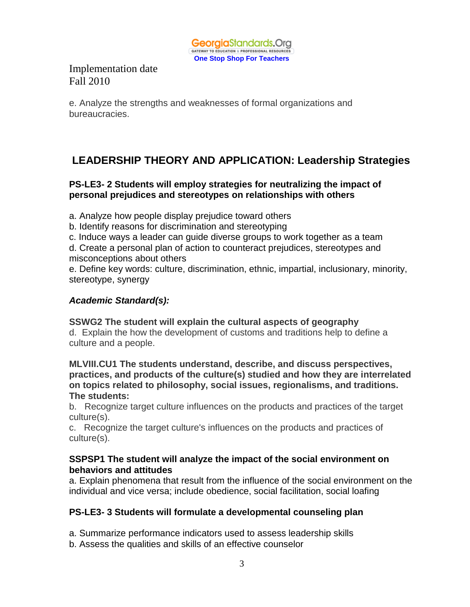

e. Analyze the strengths and weaknesses of formal organizations and bureaucracies.

# **LEADERSHIP THEORY AND APPLICATION: Leadership Strategies**

## **PS-LE3- 2 Students will employ strategies for neutralizing the impact of personal prejudices and stereotypes on relationships with others**

a. Analyze how people display prejudice toward others

b. Identify reasons for discrimination and stereotyping

c. Induce ways a leader can guide diverse groups to work together as a team

d. Create a personal plan of action to counteract prejudices, stereotypes and misconceptions about others

e. Define key words: culture, discrimination, ethnic, impartial, inclusionary, minority, stereotype, synergy

## *Academic Standard(s):*

**SSWG2 The student will explain the cultural aspects of geography** d. Explain the how the development of customs and traditions help to define a culture and a people.

**MLVIII.CU1 The students understand, describe, and discuss perspectives, practices, and products of the culture(s) studied and how they are interrelated on topics related to philosophy, social issues, regionalisms, and traditions. The students:**

b. Recognize target culture influences on the products and practices of the target culture(s).

c. Recognize the target culture's influences on the products and practices of culture(s).

## **SSPSP1 The student will analyze the impact of the social environment on behaviors and attitudes**

a. Explain phenomena that result from the influence of the social environment on the individual and vice versa; include obedience, social facilitation, social loafing

## **PS-LE3- 3 Students will formulate a developmental counseling plan**

- a. Summarize performance indicators used to assess leadership skills
- b. Assess the qualities and skills of an effective counselor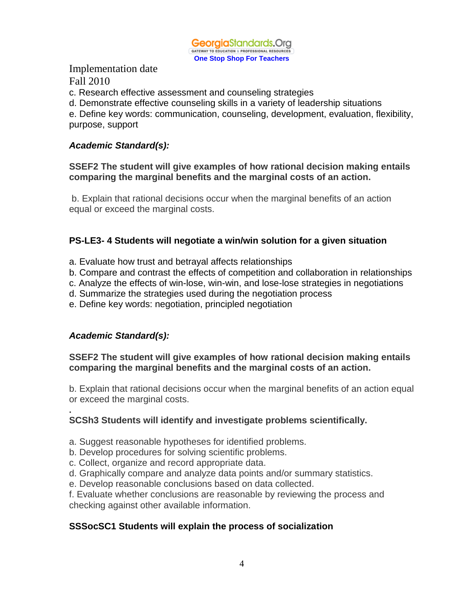

c. Research effective assessment and counseling strategies

d. Demonstrate effective counseling skills in a variety of leadership situations

e. Define key words: communication, counseling, development, evaluation, flexibility, purpose, support

## *Academic Standard(s):*

## **SSEF2 The student will give examples of how rational decision making entails comparing the marginal benefits and the marginal costs of an action.**

b. Explain that rational decisions occur when the marginal benefits of an action equal or exceed the marginal costs.

## **PS-LE3- 4 Students will negotiate a win/win solution for a given situation**

- a. Evaluate how trust and betrayal affects relationships
- b. Compare and contrast the effects of competition and collaboration in relationships
- c. Analyze the effects of win-lose, win-win, and lose-lose strategies in negotiations
- d. Summarize the strategies used during the negotiation process
- e. Define key words: negotiation, principled negotiation

## *Academic Standard(s):*

## **SSEF2 The student will give examples of how rational decision making entails comparing the marginal benefits and the marginal costs of an action.**

b. Explain that rational decisions occur when the marginal benefits of an action equal or exceed the marginal costs.

#### **. SCSh3 Students will identify and investigate problems scientifically.**

- a. Suggest reasonable hypotheses for identified problems.
- b. Develop procedures for solving scientific problems.
- c. Collect, organize and record appropriate data.
- d. Graphically compare and analyze data points and/or summary statistics.
- e. Develop reasonable conclusions based on data collected.

f. Evaluate whether conclusions are reasonable by reviewing the process and checking against other available information.

## **SSSocSC1 Students will explain the process of socialization**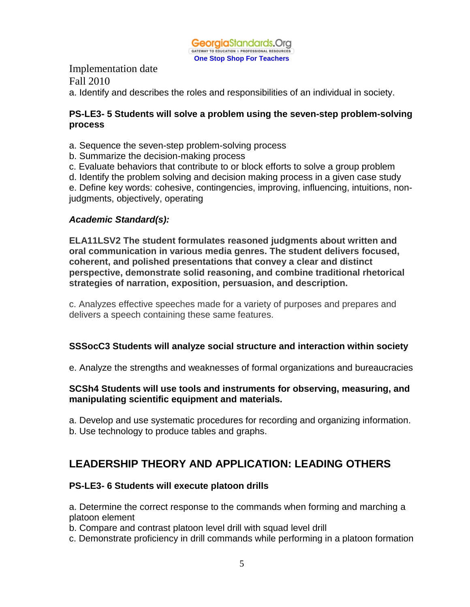

Implementation date Fall 2010 a. Identify and describes the roles and responsibilities of an individual in society.

#### **PS-LE3- 5 Students will solve a problem using the seven-step problem-solving process**

- a. Sequence the seven-step problem-solving process
- b. Summarize the decision-making process
- c. Evaluate behaviors that contribute to or block efforts to solve a group problem
- d. Identify the problem solving and decision making process in a given case study

e. Define key words: cohesive, contingencies, improving, influencing, intuitions, nonjudgments, objectively, operating

## *Academic Standard(s):*

**ELA11LSV2 The student formulates reasoned judgments about written and oral communication in various media genres. The student delivers focused, coherent, and polished presentations that convey a clear and distinct perspective, demonstrate solid reasoning, and combine traditional rhetorical strategies of narration, exposition, persuasion, and description.**

c. Analyzes effective speeches made for a variety of purposes and prepares and delivers a speech containing these same features.

## **SSSocC3 Students will analyze social structure and interaction within society**

e. Analyze the strengths and weaknesses of formal organizations and bureaucracies

#### **SCSh4 Students will use tools and instruments for observing, measuring, and manipulating scientific equipment and materials.**

a. Develop and use systematic procedures for recording and organizing information. b. Use technology to produce tables and graphs.

# **LEADERSHIP THEORY AND APPLICATION: LEADING OTHERS**

## **PS-LE3- 6 Students will execute platoon drills**

a. Determine the correct response to the commands when forming and marching a platoon element

b. Compare and contrast platoon level drill with squad level drill

c. Demonstrate proficiency in drill commands while performing in a platoon formation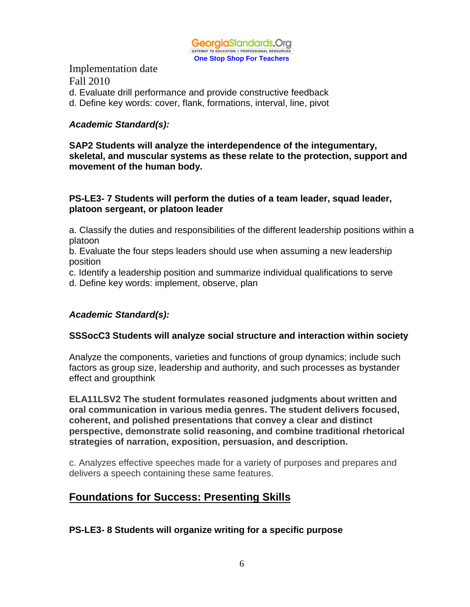

Implementation date Fall 2010 d. Evaluate drill performance and provide constructive feedback d. Define key words: cover, flank, formations, interval, line, pivot

#### *Academic Standard(s):*

**SAP2 Students will analyze the interdependence of the integumentary, skeletal, and muscular systems as these relate to the protection, support and movement of the human body.**

#### **PS-LE3- 7 Students will perform the duties of a team leader, squad leader, platoon sergeant, or platoon leader**

a. Classify the duties and responsibilities of the different leadership positions within a platoon

b. Evaluate the four steps leaders should use when assuming a new leadership position

c. Identify a leadership position and summarize individual qualifications to serve

d. Define key words: implement, observe, plan

## *Academic Standard(s):*

#### **SSSocC3 Students will analyze social structure and interaction within society**

Analyze the components, varieties and functions of group dynamics; include such factors as group size, leadership and authority, and such processes as bystander effect and groupthink

**ELA11LSV2 The student formulates reasoned judgments about written and oral communication in various media genres. The student delivers focused, coherent, and polished presentations that convey a clear and distinct perspective, demonstrate solid reasoning, and combine traditional rhetorical strategies of narration, exposition, persuasion, and description.**

c. Analyzes effective speeches made for a variety of purposes and prepares and delivers a speech containing these same features.

## **Foundations for Success: Presenting Skills**

## **PS-LE3- 8 Students will organize writing for a specific purpose**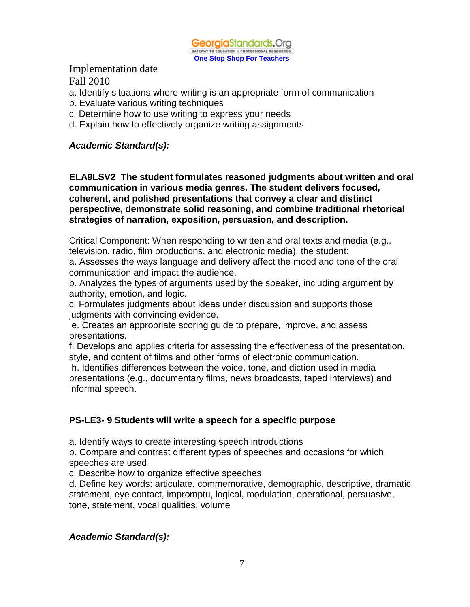

- a. Identify situations where writing is an appropriate form of communication
- b. Evaluate various writing techniques
- c. Determine how to use writing to express your needs
- d. Explain how to effectively organize writing assignments

#### *Academic Standard(s):*

**ELA9LSV2 The student formulates reasoned judgments about written and oral communication in various media genres. The student delivers focused, coherent, and polished presentations that convey a clear and distinct perspective, demonstrate solid reasoning, and combine traditional rhetorical strategies of narration, exposition, persuasion, and description.**

Critical Component: When responding to written and oral texts and media (e.g., television, radio, film productions, and electronic media), the student:

a. Assesses the ways language and delivery affect the mood and tone of the oral communication and impact the audience.

b. Analyzes the types of arguments used by the speaker, including argument by authority, emotion, and logic.

c. Formulates judgments about ideas under discussion and supports those judgments with convincing evidence.

e. Creates an appropriate scoring guide to prepare, improve, and assess presentations.

f. Develops and applies criteria for assessing the effectiveness of the presentation, style, and content of films and other forms of electronic communication.

h. Identifies differences between the voice, tone, and diction used in media presentations (e.g., documentary films, news broadcasts, taped interviews) and informal speech.

#### **PS-LE3- 9 Students will write a speech for a specific purpose**

a. Identify ways to create interesting speech introductions

b. Compare and contrast different types of speeches and occasions for which speeches are used

c. Describe how to organize effective speeches

d. Define key words: articulate, commemorative, demographic, descriptive, dramatic statement, eye contact, impromptu, logical, modulation, operational, persuasive, tone, statement, vocal qualities, volume

#### *Academic Standard(s):*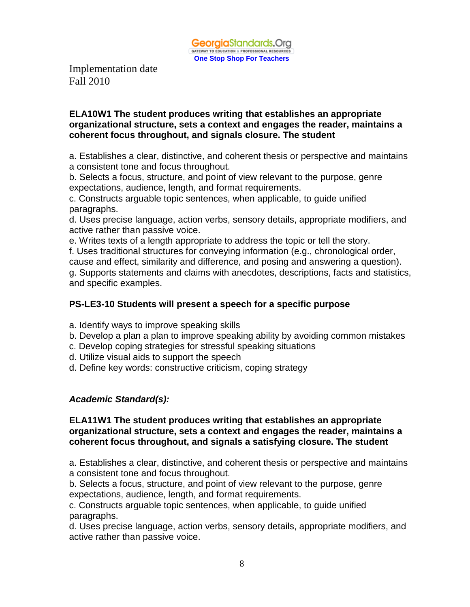

#### **ELA10W1 The student produces writing that establishes an appropriate organizational structure, sets a context and engages the reader, maintains a coherent focus throughout, and signals closure. The student**

a. Establishes a clear, distinctive, and coherent thesis or perspective and maintains a consistent tone and focus throughout.

b. Selects a focus, structure, and point of view relevant to the purpose, genre expectations, audience, length, and format requirements.

c. Constructs arguable topic sentences, when applicable, to guide unified paragraphs.

d. Uses precise language, action verbs, sensory details, appropriate modifiers, and active rather than passive voice.

e. Writes texts of a length appropriate to address the topic or tell the story.

f. Uses traditional structures for conveying information (e.g., chronological order, cause and effect, similarity and difference, and posing and answering a question). g. Supports statements and claims with anecdotes, descriptions, facts and statistics,

and specific examples.

#### **PS-LE3-10 Students will present a speech for a specific purpose**

a. Identify ways to improve speaking skills

- b. Develop a plan a plan to improve speaking ability by avoiding common mistakes
- c. Develop coping strategies for stressful speaking situations
- d. Utilize visual aids to support the speech
- d. Define key words: constructive criticism, coping strategy

#### *Academic Standard(s):*

#### **ELA11W1 The student produces writing that establishes an appropriate organizational structure, sets a context and engages the reader, maintains a coherent focus throughout, and signals a satisfying closure. The student**

a. Establishes a clear, distinctive, and coherent thesis or perspective and maintains a consistent tone and focus throughout.

b. Selects a focus, structure, and point of view relevant to the purpose, genre expectations, audience, length, and format requirements.

c. Constructs arguable topic sentences, when applicable, to guide unified paragraphs.

d. Uses precise language, action verbs, sensory details, appropriate modifiers, and active rather than passive voice.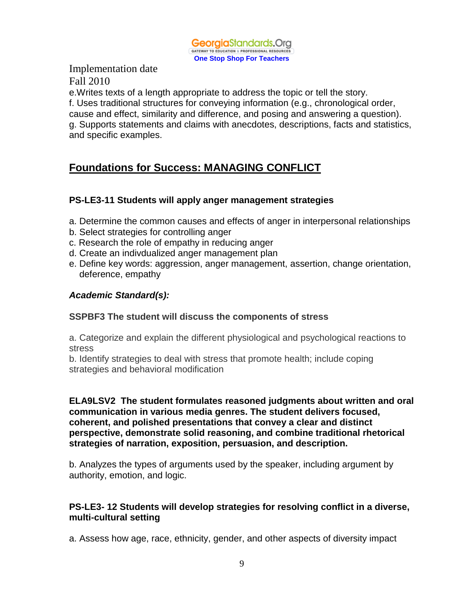

e.Writes texts of a length appropriate to address the topic or tell the story. f. Uses traditional structures for conveying information (e.g., chronological order, cause and effect, similarity and difference, and posing and answering a question). g. Supports statements and claims with anecdotes, descriptions, facts and statistics, and specific examples.

# **Foundations for Success: MANAGING CONFLICT**

## **PS-LE3-11 Students will apply anger management strategies**

- a. Determine the common causes and effects of anger in interpersonal relationships
- b. Select strategies for controlling anger
- c. Research the role of empathy in reducing anger
- d. Create an indivdualized anger management plan
- e. Define key words: aggression, anger management, assertion, change orientation, deference, empathy

## *Academic Standard(s):*

#### **SSPBF3 The student will discuss the components of stress**

a. Categorize and explain the different physiological and psychological reactions to stress

b. Identify strategies to deal with stress that promote health; include coping strategies and behavioral modification

#### **ELA9LSV2 The student formulates reasoned judgments about written and oral communication in various media genres. The student delivers focused, coherent, and polished presentations that convey a clear and distinct perspective, demonstrate solid reasoning, and combine traditional rhetorical strategies of narration, exposition, persuasion, and description.**

b. Analyzes the types of arguments used by the speaker, including argument by authority, emotion, and logic.

## **PS-LE3- 12 Students will develop strategies for resolving conflict in a diverse, multi-cultural setting**

a. Assess how age, race, ethnicity, gender, and other aspects of diversity impact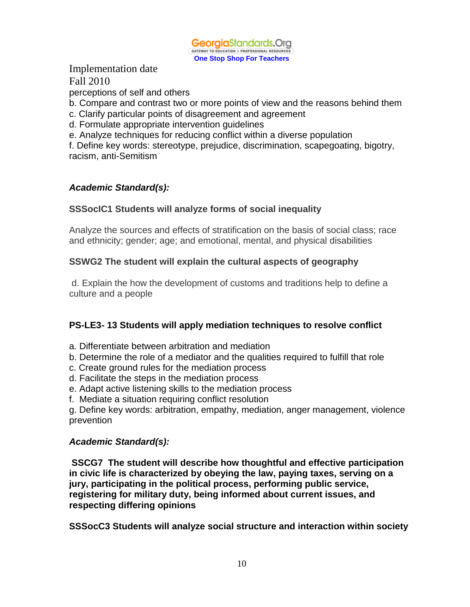

perceptions of self and others

b. Compare and contrast two or more points of view and the reasons behind them

- c. Clarify particular points of disagreement and agreement
- d. Formulate appropriate intervention guidelines

e. Analyze techniques for reducing conflict within a diverse population

f. Define key words: stereotype, prejudice, discrimination, scapegoating, bigotry, racism, anti-Semitism

## *Academic Standard(s):*

## **SSSocIC1 Students will analyze forms of social inequality**

Analyze the sources and effects of stratification on the basis of social class; race and ethnicity; gender; age; and emotional, mental, and physical disabilities

## **SSWG2 The student will explain the cultural aspects of geography**

d. Explain the how the development of customs and traditions help to define a culture and a people

## **PS-LE3- 13 Students will apply mediation techniques to resolve conflict**

- a. Differentiate between arbitration and mediation
- b. Determine the role of a mediator and the qualities required to fulfill that role
- c. Create ground rules for the mediation process
- d. Facilitate the steps in the mediation process
- e. Adapt active listening skills to the mediation process
- f. Mediate a situation requiring conflict resolution

g. Define key words: arbitration, empathy, mediation, anger management, violence prevention

#### *Academic Standard(s):*

**SSCG7 The student will describe how thoughtful and effective participation in civic life is characterized by obeying the law, paying taxes, serving on a jury, participating in the political process, performing public service, registering for military duty, being informed about current issues, and respecting differing opinions**

**SSSocC3 Students will analyze social structure and interaction within society**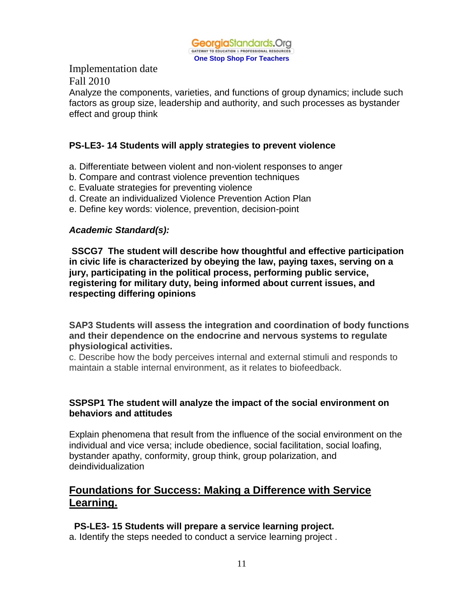

Analyze the components, varieties, and functions of group dynamics; include such factors as group size, leadership and authority, and such processes as bystander effect and group think

## **PS-LE3- 14 Students will apply strategies to prevent violence**

- a. Differentiate between violent and non-violent responses to anger
- b. Compare and contrast violence prevention techniques
- c. Evaluate strategies for preventing violence
- d. Create an individualized Violence Prevention Action Plan
- e. Define key words: violence, prevention, decision-point

## *Academic Standard(s):*

**SSCG7 The student will describe how thoughtful and effective participation in civic life is characterized by obeying the law, paying taxes, serving on a jury, participating in the political process, performing public service, registering for military duty, being informed about current issues, and respecting differing opinions**

**SAP3 Students will assess the integration and coordination of body functions and their dependence on the endocrine and nervous systems to regulate physiological activities.** 

c. Describe how the body perceives internal and external stimuli and responds to maintain a stable internal environment, as it relates to biofeedback.

## **SSPSP1 The student will analyze the impact of the social environment on behaviors and attitudes**

Explain phenomena that result from the influence of the social environment on the individual and vice versa; include obedience, social facilitation, social loafing, bystander apathy, conformity, group think, group polarization, and deindividualization

## **Foundations for Success: Making a Difference with Service Learning.**

## **PS-LE3- 15 Students will prepare a service learning project.**

a. Identify the steps needed to conduct a service learning project .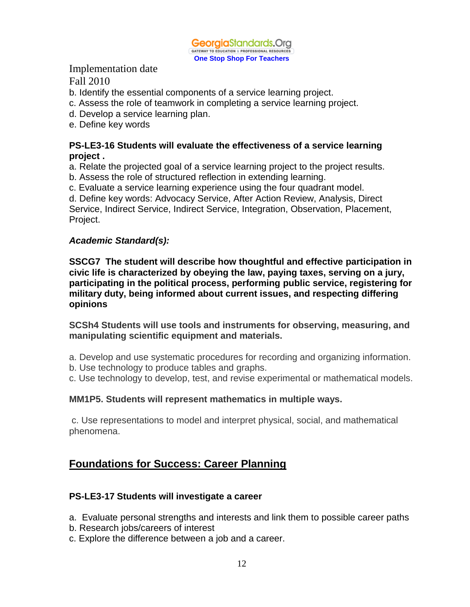

- b. Identify the essential components of a service learning project.
- c. Assess the role of teamwork in completing a service learning project.
- d. Develop a service learning plan.
- e. Define key words

#### **PS-LE3-16 Students will evaluate the effectiveness of a service learning project .**

a. Relate the projected goal of a service learning project to the project results.

- b. Assess the role of structured reflection in extending learning.
- c. Evaluate a service learning experience using the four quadrant model.

d. Define key words: Advocacy Service, After Action Review, Analysis, Direct

Service, Indirect Service, Indirect Service, Integration, Observation, Placement, Project.

## *Academic Standard(s):*

**SSCG7 The student will describe how thoughtful and effective participation in civic life is characterized by obeying the law, paying taxes, serving on a jury, participating in the political process, performing public service, registering for military duty, being informed about current issues, and respecting differing opinions**

**SCSh4 Students will use tools and instruments for observing, measuring, and manipulating scientific equipment and materials.**

a. Develop and use systematic procedures for recording and organizing information.

b. Use technology to produce tables and graphs.

c. Use technology to develop, test, and revise experimental or mathematical models.

## **MM1P5. Students will represent mathematics in multiple ways.**

c. Use representations to model and interpret physical, social, and mathematical phenomena.

# **Foundations for Success: Career Planning**

## **PS-LE3-17 Students will investigate a career**

- a. Evaluate personal strengths and interests and link them to possible career paths
- b. Research jobs/careers of interest
- c. Explore the difference between a job and a career.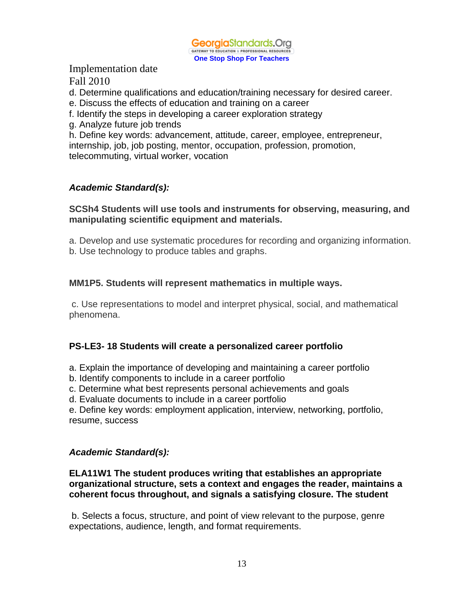

- d. Determine qualifications and education/training necessary for desired career.
- e. Discuss the effects of education and training on a career
- f. Identify the steps in developing a career exploration strategy
- g. Analyze future job trends

h. Define key words: advancement, attitude, career, employee, entrepreneur, internship, job, job posting, mentor, occupation, profession, promotion, telecommuting, virtual worker, vocation

#### *Academic Standard(s):*

#### **SCSh4 Students will use tools and instruments for observing, measuring, and manipulating scientific equipment and materials.**

a. Develop and use systematic procedures for recording and organizing information. b. Use technology to produce tables and graphs.

#### **MM1P5. Students will represent mathematics in multiple ways.**

c. Use representations to model and interpret physical, social, and mathematical phenomena.

#### **PS-LE3- 18 Students will create a personalized career portfolio**

- a. Explain the importance of developing and maintaining a career portfolio
- b. Identify components to include in a career portfolio
- c. Determine what best represents personal achievements and goals
- d. Evaluate documents to include in a career portfolio

e. Define key words: employment application, interview, networking, portfolio, resume, success

#### *Academic Standard(s):*

#### **ELA11W1 The student produces writing that establishes an appropriate organizational structure, sets a context and engages the reader, maintains a coherent focus throughout, and signals a satisfying closure. The student**

b. Selects a focus, structure, and point of view relevant to the purpose, genre expectations, audience, length, and format requirements.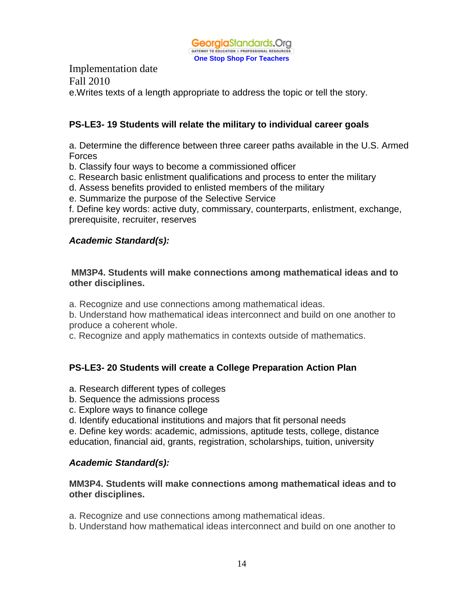

Implementation date Fall 2010 e.Writes texts of a length appropriate to address the topic or tell the story.

## **PS-LE3- 19 Students will relate the military to individual career goals**

a. Determine the difference between three career paths available in the U.S. Armed Forces

- b. Classify four ways to become a commissioned officer
- c. Research basic enlistment qualifications and process to enter the military
- d. Assess benefits provided to enlisted members of the military
- e. Summarize the purpose of the Selective Service
- f. Define key words: active duty, commissary, counterparts, enlistment, exchange, prerequisite, recruiter, reserves

#### *Academic Standard(s):*

#### **MM3P4. Students will make connections among mathematical ideas and to other disciplines.**

a. Recognize and use connections among mathematical ideas.

b. Understand how mathematical ideas interconnect and build on one another to produce a coherent whole.

c. Recognize and apply mathematics in contexts outside of mathematics.

#### **PS-LE3- 20 Students will create a College Preparation Action Plan**

- a. Research different types of colleges
- b. Sequence the admissions process
- c. Explore ways to finance college
- d. Identify educational institutions and majors that fit personal needs

e. Define key words: academic, admissions, aptitude tests, college, distance education, financial aid, grants, registration, scholarships, tuition, university

#### *Academic Standard(s):*

#### **MM3P4. Students will make connections among mathematical ideas and to other disciplines.**

a. Recognize and use connections among mathematical ideas.

b. Understand how mathematical ideas interconnect and build on one another to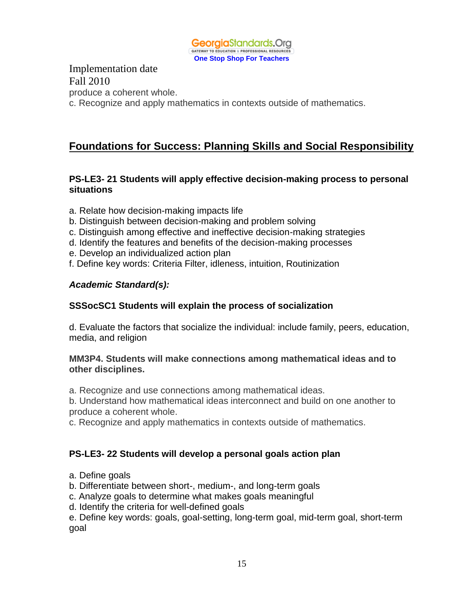

Implementation date Fall 2010 produce a coherent whole. c. Recognize and apply mathematics in contexts outside of mathematics.

# **Foundations for Success: Planning Skills and Social Responsibility**

#### **PS-LE3- 21 Students will apply effective decision-making process to personal situations**

- a. Relate how decision-making impacts life
- b. Distinguish between decision-making and problem solving
- c. Distinguish among effective and ineffective decision-making strategies
- d. Identify the features and benefits of the decision-making processes
- e. Develop an individualized action plan
- f. Define key words: Criteria Filter, idleness, intuition, Routinization

## *Academic Standard(s):*

#### **SSSocSC1 Students will explain the process of socialization**

d. Evaluate the factors that socialize the individual: include family, peers, education, media, and religion

#### **MM3P4. Students will make connections among mathematical ideas and to other disciplines.**

a. Recognize and use connections among mathematical ideas.

b. Understand how mathematical ideas interconnect and build on one another to produce a coherent whole.

c. Recognize and apply mathematics in contexts outside of mathematics.

#### **PS-LE3- 22 Students will develop a personal goals action plan**

- a. Define goals
- b. Differentiate between short-, medium-, and long-term goals
- c. Analyze goals to determine what makes goals meaningful
- d. Identify the criteria for well-defined goals

e. Define key words: goals, goal-setting, long-term goal, mid-term goal, short-term goal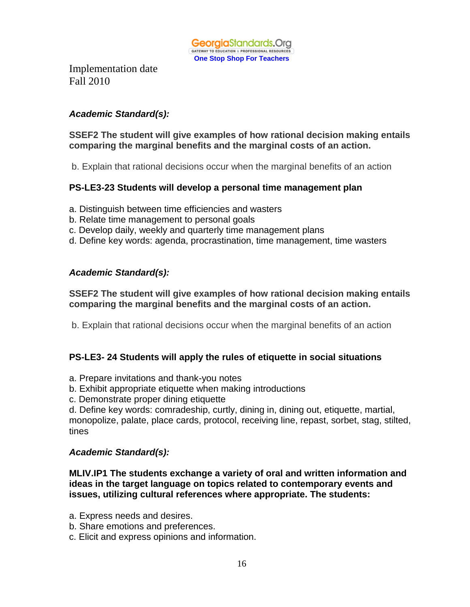

## *Academic Standard(s):*

## **SSEF2 The student will give examples of how rational decision making entails comparing the marginal benefits and the marginal costs of an action.**

b. Explain that rational decisions occur when the marginal benefits of an action

## **PS-LE3-23 Students will develop a personal time management plan**

- a. Distinguish between time efficiencies and wasters
- b. Relate time management to personal goals
- c. Develop daily, weekly and quarterly time management plans
- d. Define key words: agenda, procrastination, time management, time wasters

#### *Academic Standard(s):*

#### **SSEF2 The student will give examples of how rational decision making entails comparing the marginal benefits and the marginal costs of an action.**

b. Explain that rational decisions occur when the marginal benefits of an action

#### **PS-LE3- 24 Students will apply the rules of etiquette in social situations**

- a. Prepare invitations and thank-you notes
- b. Exhibit appropriate etiquette when making introductions
- c. Demonstrate proper dining etiquette

d. Define key words: comradeship, curtly, dining in, dining out, etiquette, martial, monopolize, palate, place cards, protocol, receiving line, repast, sorbet, stag, stilted, tines

#### *Academic Standard(s):*

**MLIV.IP1 The students exchange a variety of oral and written information and ideas in the target language on topics related to contemporary events and issues, utilizing cultural references where appropriate. The students:**

- a. Express needs and desires.
- b. Share emotions and preferences.
- c. Elicit and express opinions and information.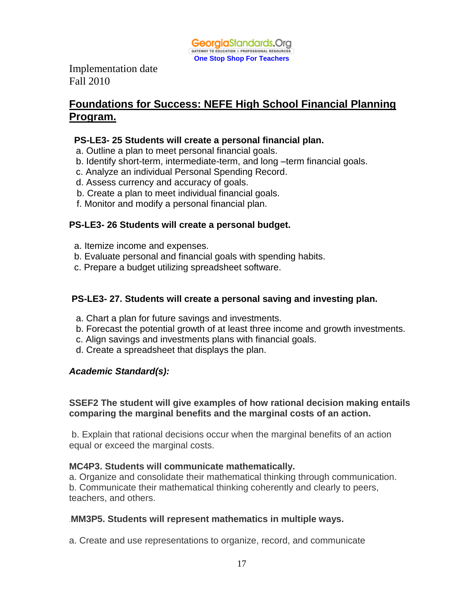

## **Foundations for Success: NEFE High School Financial Planning Program.**

#### **PS-LE3- 25 Students will create a personal financial plan.**

- a. Outline a plan to meet personal financial goals.
- b. Identify short-term, intermediate-term, and long –term financial goals.
- c. Analyze an individual Personal Spending Record.
- d. Assess currency and accuracy of goals.
- b. Create a plan to meet individual financial goals.
- f. Monitor and modify a personal financial plan.

## **PS-LE3- 26 Students will create a personal budget.**

- a. Itemize income and expenses.
- b. Evaluate personal and financial goals with spending habits.
- c. Prepare a budget utilizing spreadsheet software.

## **PS-LE3- 27. Students will create a personal saving and investing plan.**

- a. Chart a plan for future savings and investments.
- b. Forecast the potential growth of at least three income and growth investments.
- c. Align savings and investments plans with financial goals.
- d. Create a spreadsheet that displays the plan.

## *Academic Standard(s):*

## **SSEF2 The student will give examples of how rational decision making entails comparing the marginal benefits and the marginal costs of an action.**

b. Explain that rational decisions occur when the marginal benefits of an action equal or exceed the marginal costs.

#### **MC4P3. Students will communicate mathematically.**

a. Organize and consolidate their mathematical thinking through communication. b. Communicate their mathematical thinking coherently and clearly to peers, teachers, and others.

#### .**MM3P5. Students will represent mathematics in multiple ways.**

a. Create and use representations to organize, record, and communicate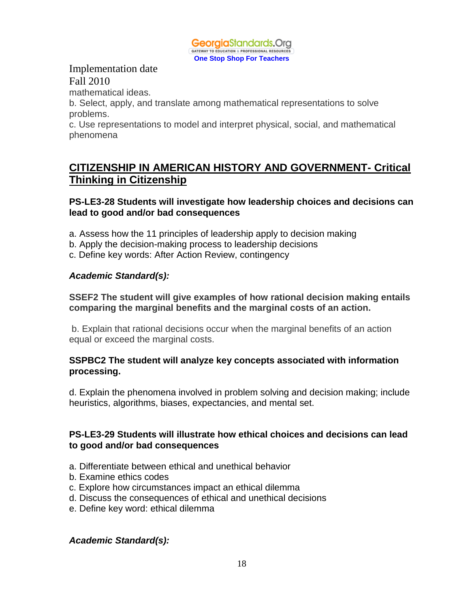

mathematical ideas.

b. Select, apply, and translate among mathematical representations to solve problems.

c. Use representations to model and interpret physical, social, and mathematical phenomena

## **CITIZENSHIP IN AMERICAN HISTORY AND GOVERNMENT- Critical Thinking in Citizenship**

**PS-LE3-28 Students will investigate how leadership choices and decisions can lead to good and/or bad consequences**

- a. Assess how the 11 principles of leadership apply to decision making
- b. Apply the decision-making process to leadership decisions
- c. Define key words: After Action Review, contingency

## *Academic Standard(s):*

**SSEF2 The student will give examples of how rational decision making entails comparing the marginal benefits and the marginal costs of an action.**

b. Explain that rational decisions occur when the marginal benefits of an action equal or exceed the marginal costs.

#### **SSPBC2 The student will analyze key concepts associated with information processing.**

d. Explain the phenomena involved in problem solving and decision making; include heuristics, algorithms, biases, expectancies, and mental set.

#### **PS-LE3-29 Students will illustrate how ethical choices and decisions can lead to good and/or bad consequences**

- a. Differentiate between ethical and unethical behavior
- b. Examine ethics codes
- c. Explore how circumstances impact an ethical dilemma
- d. Discuss the consequences of ethical and unethical decisions
- e. Define key word: ethical dilemma

#### *Academic Standard(s):*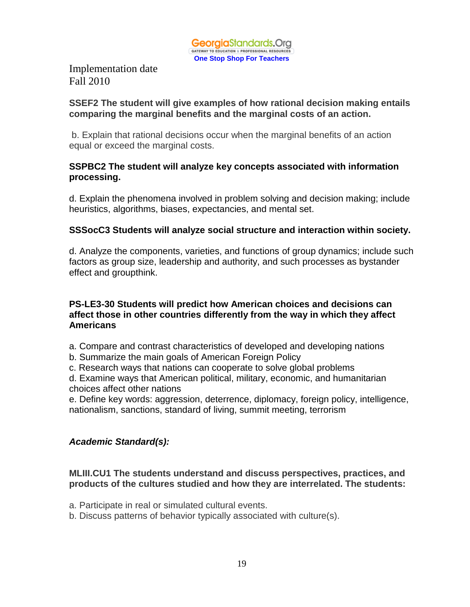

#### **SSEF2 The student will give examples of how rational decision making entails comparing the marginal benefits and the marginal costs of an action.**

b. Explain that rational decisions occur when the marginal benefits of an action equal or exceed the marginal costs.

## **SSPBC2 The student will analyze key concepts associated with information processing.**

d. Explain the phenomena involved in problem solving and decision making; include heuristics, algorithms, biases, expectancies, and mental set.

## **SSSocC3 Students will analyze social structure and interaction within society.**

d. Analyze the components, varieties, and functions of group dynamics; include such factors as group size, leadership and authority, and such processes as bystander effect and groupthink.

#### **PS-LE3-30 Students will predict how American choices and decisions can affect those in other countries differently from the way in which they affect Americans**

- a. Compare and contrast characteristics of developed and developing nations
- b. Summarize the main goals of American Foreign Policy
- c. Research ways that nations can cooperate to solve global problems

d. Examine ways that American political, military, economic, and humanitarian choices affect other nations

e. Define key words: aggression, deterrence, diplomacy, foreign policy, intelligence, nationalism, sanctions, standard of living, summit meeting, terrorism

## *Academic Standard(s):*

#### **MLIII.CU1 The students understand and discuss perspectives, practices, and products of the cultures studied and how they are interrelated. The students:**

- a. Participate in real or simulated cultural events.
- b. Discuss patterns of behavior typically associated with culture(s).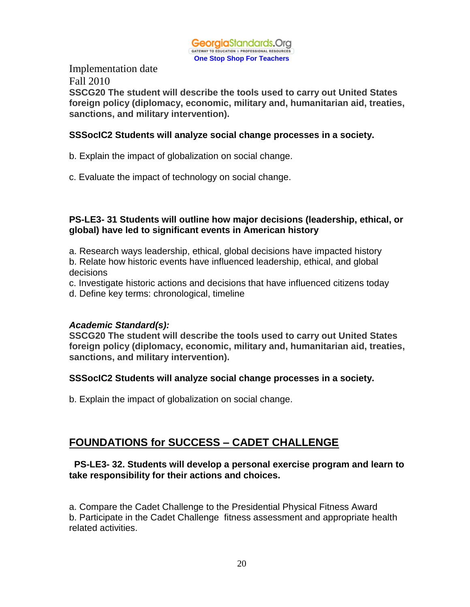

Implementation date Fall 2010 **SSCG20 The student will describe the tools used to carry out United States foreign policy (diplomacy, economic, military and, humanitarian aid, treaties, sanctions, and military intervention).**

#### **SSSocIC2 Students will analyze social change processes in a society.**

- b. Explain the impact of globalization on social change.
- c. Evaluate the impact of technology on social change.

## **PS-LE3- 31 Students will outline how major decisions (leadership, ethical, or global) have led to significant events in American history**

- a. Research ways leadership, ethical, global decisions have impacted history
- b. Relate how historic events have influenced leadership, ethical, and global decisions
- c. Investigate historic actions and decisions that have influenced citizens today
- d. Define key terms: chronological, timeline

## *Academic Standard(s):*

**SSCG20 The student will describe the tools used to carry out United States foreign policy (diplomacy, economic, military and, humanitarian aid, treaties, sanctions, and military intervention).**

## **SSSocIC2 Students will analyze social change processes in a society.**

b. Explain the impact of globalization on social change.

## **FOUNDATIONS for SUCCESS – CADET CHALLENGE**

#### **PS-LE3- 32. Students will develop a personal exercise program and learn to take responsibility for their actions and choices.**

a. Compare the Cadet Challenge to the Presidential Physical Fitness Award b. Participate in the Cadet Challenge fitness assessment and appropriate health related activities.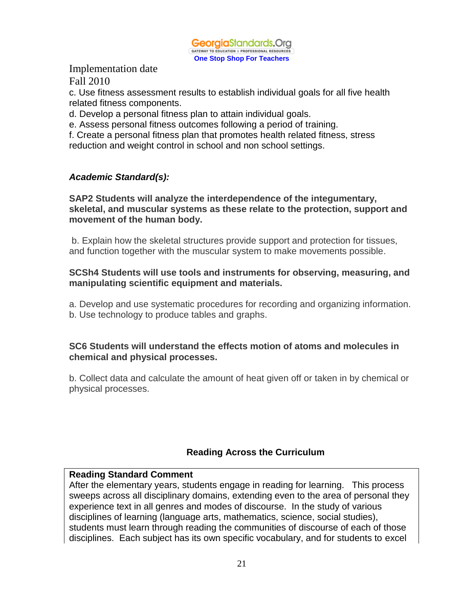

c. Use fitness assessment results to establish individual goals for all five health related fitness components.

d. Develop a personal fitness plan to attain individual goals.

e. Assess personal fitness outcomes following a period of training.

f. Create a personal fitness plan that promotes health related fitness, stress reduction and weight control in school and non school settings.

## *Academic Standard(s):*

#### **SAP2 Students will analyze the interdependence of the integumentary, skeletal, and muscular systems as these relate to the protection, support and movement of the human body.**

b. Explain how the skeletal structures provide support and protection for tissues, and function together with the muscular system to make movements possible.

#### **SCSh4 Students will use tools and instruments for observing, measuring, and manipulating scientific equipment and materials.**

a. Develop and use systematic procedures for recording and organizing information. b. Use technology to produce tables and graphs.

#### **SC6 Students will understand the effects motion of atoms and molecules in chemical and physical processes.**

b. Collect data and calculate the amount of heat given off or taken in by chemical or physical processes.

## **Reading Across the Curriculum**

## **Reading Standard Comment**

After the elementary years, students engage in reading for learning. This process sweeps across all disciplinary domains, extending even to the area of personal they experience text in all genres and modes of discourse. In the study of various disciplines of learning (language arts, mathematics, science, social studies), students must learn through reading the communities of discourse of each of those disciplines. Each subject has its own specific vocabulary, and for students to excel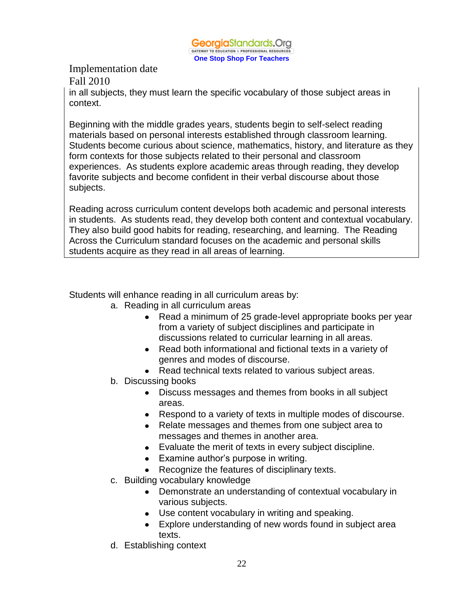

in all subjects, they must learn the specific vocabulary of those subject areas in context.

Beginning with the middle grades years, students begin to self-select reading materials based on personal interests established through classroom learning. Students become curious about science, mathematics, history, and literature as they form contexts for those subjects related to their personal and classroom experiences. As students explore academic areas through reading, they develop favorite subjects and become confident in their verbal discourse about those subjects.

Reading across curriculum content develops both academic and personal interests in students. As students read, they develop both content and contextual vocabulary. They also build good habits for reading, researching, and learning. The Reading Across the Curriculum standard focuses on the academic and personal skills students acquire as they read in all areas of learning.

Students will enhance reading in all curriculum areas by:

- a. Reading in all curriculum areas
	- Read a minimum of 25 grade-level appropriate books per year from a variety of subject disciplines and participate in discussions related to curricular learning in all areas.
	- Read both informational and fictional texts in a variety of genres and modes of discourse.
	- Read technical texts related to various subject areas.
- b. Discussing books
	- Discuss messages and themes from books in all subject areas.
	- Respond to a variety of texts in multiple modes of discourse.
	- Relate messages and themes from one subject area to messages and themes in another area.
	- Evaluate the merit of texts in every subject discipline.
	- Examine author's purpose in writing.
	- Recognize the features of disciplinary texts.
- c. Building vocabulary knowledge
	- Demonstrate an understanding of contextual vocabulary in various subjects.
	- Use content vocabulary in writing and speaking.
	- Explore understanding of new words found in subject area texts.
- d. Establishing context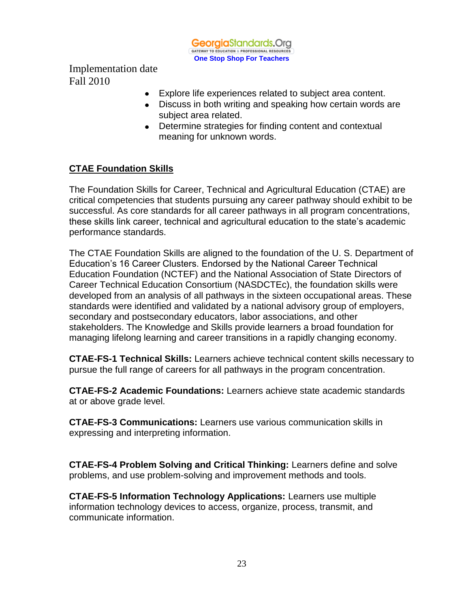

- Explore life experiences related to subject area content.
- Discuss in both writing and speaking how certain words are subject area related.
- Determine strategies for finding content and contextual meaning for unknown words.

## **CTAE Foundation Skills**

The Foundation Skills for Career, Technical and Agricultural Education (CTAE) are critical competencies that students pursuing any career pathway should exhibit to be successful. As core standards for all career pathways in all program concentrations, these skills link career, technical and agricultural education to the state's academic performance standards.

The CTAE Foundation Skills are aligned to the foundation of the U. S. Department of Education's 16 Career Clusters. Endorsed by the National Career Technical Education Foundation (NCTEF) and the National Association of State Directors of Career Technical Education Consortium (NASDCTEc), the foundation skills were developed from an analysis of all pathways in the sixteen occupational areas. These standards were identified and validated by a national advisory group of employers, secondary and postsecondary educators, labor associations, and other stakeholders. The Knowledge and Skills provide learners a broad foundation for managing lifelong learning and career transitions in a rapidly changing economy.

**CTAE-FS-1 Technical Skills:** Learners achieve technical content skills necessary to pursue the full range of careers for all pathways in the program concentration.

**CTAE-FS-2 Academic Foundations:** Learners achieve state academic standards at or above grade level.

**CTAE-FS-3 Communications:** Learners use various communication skills in expressing and interpreting information.

**CTAE-FS-4 Problem Solving and Critical Thinking:** Learners define and solve problems, and use problem-solving and improvement methods and tools.

**CTAE-FS-5 Information Technology Applications:** Learners use multiple information technology devices to access, organize, process, transmit, and communicate information.